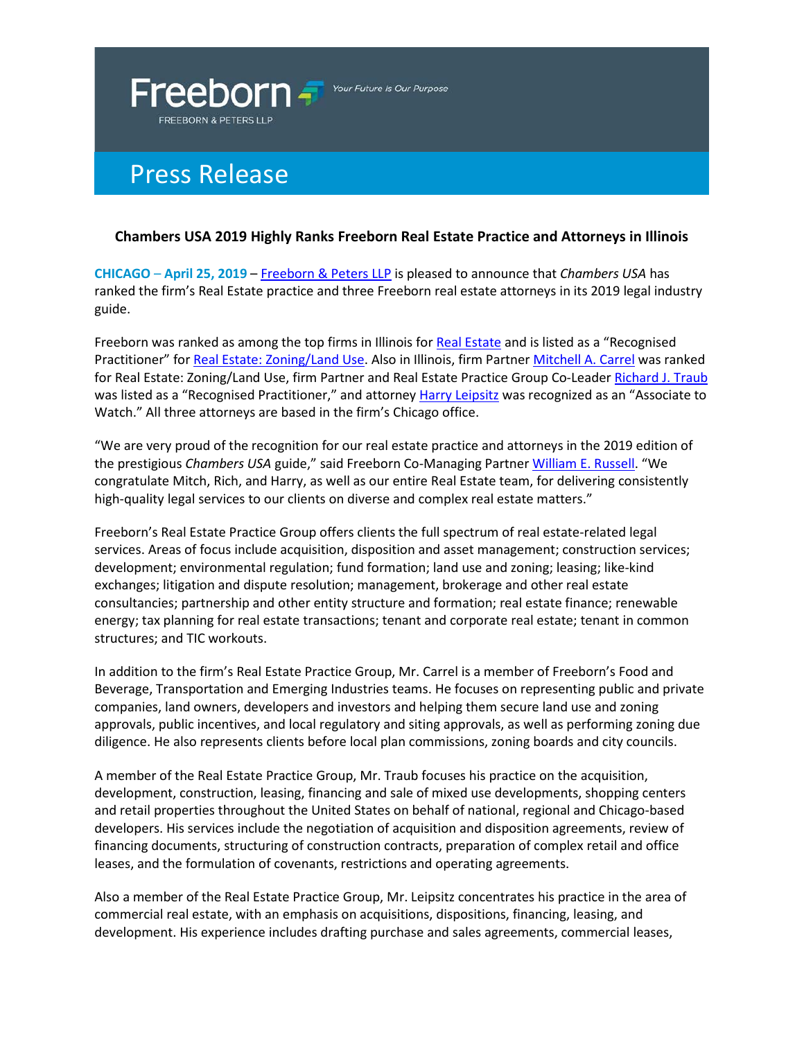

Your Future Is Our Purpose

## Press Release

## **Chambers USA 2019 Highly Ranks Freeborn Real Estate Practice and Attorneys in Illinois**

**CHICAGO** – **April 25, 2019** – [Freeborn & Peters LLP](https://www.freeborn.com/) is pleased to announce that *Chambers USA* has ranked the firm's Real Estate practice and three Freeborn real estate attorneys in its 2019 legal industry guide.

Freeborn was ranked as among the top firms in Illinois for [Real Estate](https://www.freeborn.com/practice-area/real-estate) and is listed as a "Recognised Practitioner" for [Real Estate: Zoning/Land Use.](https://www.freeborn.com/content/land-use-and-zoning) Also in Illinois, firm Partner [Mitchell A. Carrel](https://www.freeborn.com/attorney/mitchell-carrel) was ranked for Real Estate: Zoning/Land Use, firm Partner and Real Estate Practice Group Co-Leader [Richard J. Traub](https://www.freeborn.com/attorney/richard-j-traub) was listed as a "Recognised Practitioner," and attorne[y Harry Leipsitz](https://www.freeborn.com/attorney/harry-leipsitz) was recognized as an "Associate to Watch." All three attorneys are based in the firm's Chicago office.

"We are very proud of the recognition for our real estate practice and attorneys in the 2019 edition of the prestigious *Chambers USA* guide," said Freeborn Co-Managing Partne[r William E. Russell.](https://www.freeborn.com/attorney/william-e-russell) "We congratulate Mitch, Rich, and Harry, as well as our entire Real Estate team, for delivering consistently high-quality legal services to our clients on diverse and complex real estate matters."

Freeborn's Real Estate Practice Group offers clients the full spectrum of real estate-related legal services. Areas of focus include acquisition, disposition and asset management; construction services; development; environmental regulation; fund formation; land use and zoning; leasing; like-kind exchanges; litigation and dispute resolution; management, brokerage and other real estate consultancies; partnership and other entity structure and formation; real estate finance; renewable energy; tax planning for real estate transactions; tenant and corporate real estate; tenant in common structures; and TIC workouts.

In addition to the firm's Real Estate Practice Group, Mr. Carrel is a member of Freeborn's Food and Beverage, Transportation and Emerging Industries teams. He focuses on representing public and private companies, land owners, developers and investors and helping them secure land use and zoning approvals, public incentives, and local regulatory and siting approvals, as well as performing zoning due diligence. He also represents clients before local plan commissions, zoning boards and city councils.

A member of the Real Estate Practice Group, Mr. Traub focuses his practice on the acquisition, development, construction, leasing, financing and sale of mixed use developments, shopping centers and retail properties throughout the United States on behalf of national, regional and Chicago-based developers. His services include the negotiation of acquisition and disposition agreements, review of financing documents, structuring of construction contracts, preparation of complex retail and office leases, and the formulation of covenants, restrictions and operating agreements.

Also a member of the Real Estate Practice Group, Mr. Leipsitz concentrates his practice in the area of commercial real estate, with an emphasis on acquisitions, dispositions, financing, leasing, and development. His experience includes drafting purchase and sales agreements, commercial leases,